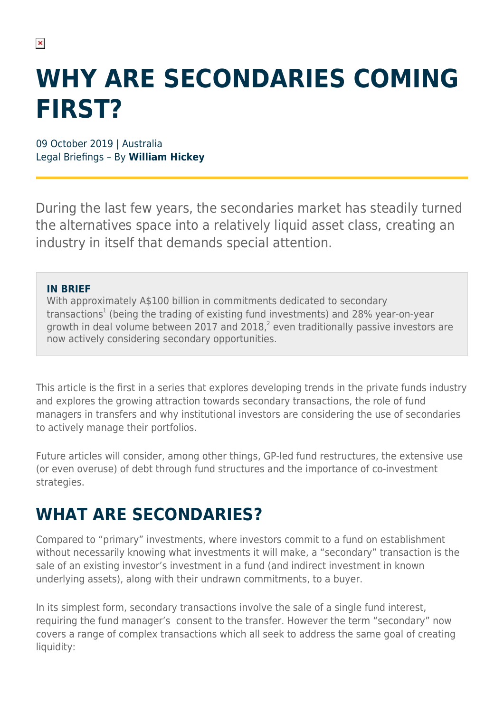# **WHY ARE SECONDARIES COMING FIRST?**

09 October 2019 | Australia Legal Briefings – By **William Hickey**

During the last few years, the secondaries market has steadily turned the alternatives space into a relatively liquid asset class, creating an industry in itself that demands special attention.

### **IN BRIEF**

With approximately A\$100 billion in commitments dedicated to secondary transactions<sup>1</sup> (being the trading of existing fund investments) and 28% year-on-year growth in deal volume between 2017 and 2018, $^2$  even traditionally passive investors are now actively considering secondary opportunities.

This article is the first in a series that explores developing trends in the private funds industry and explores the growing attraction towards secondary transactions, the role of fund managers in transfers and why institutional investors are considering the use of secondaries to actively manage their portfolios.

Future articles will consider, among other things, GP-led fund restructures, the extensive use (or even overuse) of debt through fund structures and the importance of co-investment strategies.

# **WHAT ARE SECONDARIES?**

Compared to "primary" investments, where investors commit to a fund on establishment without necessarily knowing what investments it will make, a "secondary" transaction is the sale of an existing investor's investment in a fund (and indirect investment in known underlying assets), along with their undrawn commitments, to a buyer.

In its simplest form, secondary transactions involve the sale of a single fund interest, requiring the fund manager's consent to the transfer. However the term "secondary" now covers a range of complex transactions which all seek to address the same goal of creating liquidity: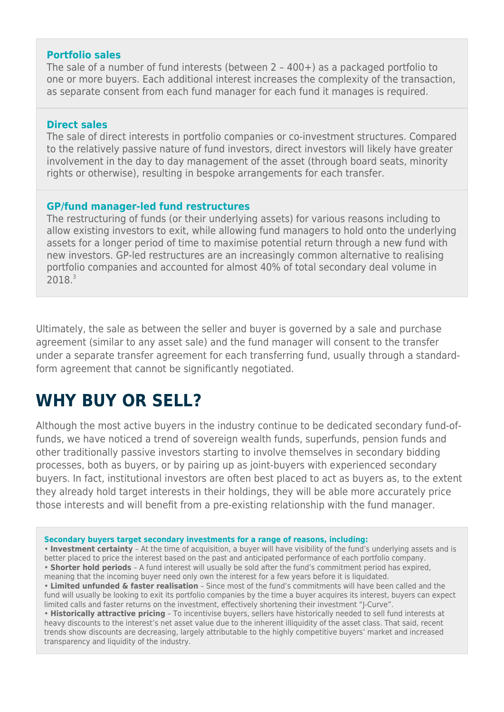### **Portfolio sales**

The sale of a number of fund interests (between 2 – 400+) as a packaged portfolio to one or more buyers. Each additional interest increases the complexity of the transaction, as separate consent from each fund manager for each fund it manages is required.

#### **Direct sales**

The sale of direct interests in portfolio companies or co-investment structures. Compared to the relatively passive nature of fund investors, direct investors will likely have greater involvement in the day to day management of the asset (through board seats, minority rights or otherwise), resulting in bespoke arrangements for each transfer.

### **GP/fund manager-led fund restructures**

The restructuring of funds (or their underlying assets) for various reasons including to allow existing investors to exit, while allowing fund managers to hold onto the underlying assets for a longer period of time to maximise potential return through a new fund with new investors. GP-led restructures are an increasingly common alternative to realising portfolio companies and accounted for almost 40% of total secondary deal volume in 2018.3

Ultimately, the sale as between the seller and buyer is governed by a sale and purchase agreement (similar to any asset sale) and the fund manager will consent to the transfer under a separate transfer agreement for each transferring fund, usually through a standardform agreement that cannot be significantly negotiated.

### **WHY BUY OR SELL?**

Although the most active buyers in the industry continue to be dedicated secondary fund-offunds, we have noticed a trend of sovereign wealth funds, superfunds, pension funds and other traditionally passive investors starting to involve themselves in secondary bidding processes, both as buyers, or by pairing up as joint-buyers with experienced secondary buyers. In fact, institutional investors are often best placed to act as buyers as, to the extent they already hold target interests in their holdings, they will be able more accurately price those interests and will benefit from a pre-existing relationship with the fund manager.

**Secondary buyers target secondary investments for a range of reasons, including:**

• **Investment certainty** – At the time of acquisition, a buyer will have visibility of the fund's underlying assets and is better placed to price the interest based on the past and anticipated performance of each portfolio company. • **Shorter hold periods** – A fund interest will usually be sold after the fund's commitment period has expired, meaning that the incoming buyer need only own the interest for a few years before it is liquidated.

• **Limited unfunded & faster realisation** – Since most of the fund's commitments will have been called and the fund will usually be looking to exit its portfolio companies by the time a buyer acquires its interest, buyers can expect limited calls and faster returns on the investment, effectively shortening their investment "J-Curve".

• **Historically attractive pricing** – To incentivise buyers, sellers have historically needed to sell fund interests at heavy discounts to the interest's net asset value due to the inherent illiquidity of the asset class. That said, recent trends show discounts are decreasing, largely attributable to the highly competitive buyers' market and increased transparency and liquidity of the industry.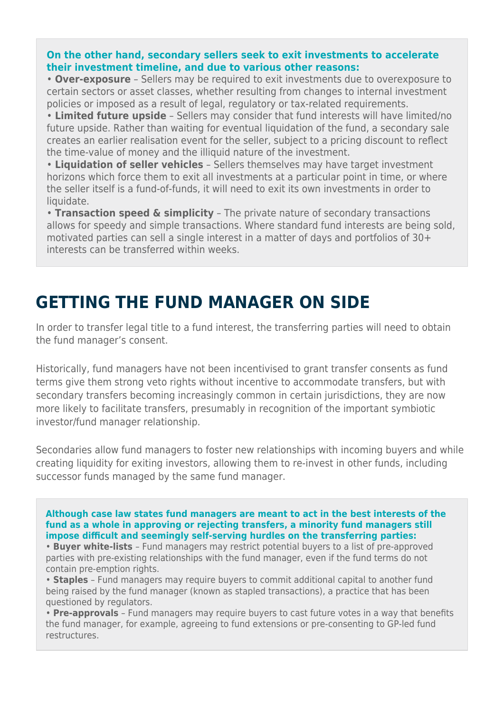### **On the other hand, secondary sellers seek to exit investments to accelerate their investment timeline, and due to various other reasons:**

• **Over-exposure** – Sellers may be required to exit investments due to overexposure to certain sectors or asset classes, whether resulting from changes to internal investment policies or imposed as a result of legal, regulatory or tax-related requirements.

• **Limited future upside** – Sellers may consider that fund interests will have limited/no future upside. Rather than waiting for eventual liquidation of the fund, a secondary sale creates an earlier realisation event for the seller, subject to a pricing discount to reflect the time-value of money and the illiquid nature of the investment.

• **Liquidation of seller vehicles** – Sellers themselves may have target investment horizons which force them to exit all investments at a particular point in time, or where the seller itself is a fund-of-funds, it will need to exit its own investments in order to liquidate.

• **Transaction speed & simplicity** – The private nature of secondary transactions allows for speedy and simple transactions. Where standard fund interests are being sold, motivated parties can sell a single interest in a matter of days and portfolios of 30+ interests can be transferred within weeks.

# **GETTING THE FUND MANAGER ON SIDE**

In order to transfer legal title to a fund interest, the transferring parties will need to obtain the fund manager's consent.

Historically, fund managers have not been incentivised to grant transfer consents as fund terms give them strong veto rights without incentive to accommodate transfers, but with secondary transfers becoming increasingly common in certain jurisdictions, they are now more likely to facilitate transfers, presumably in recognition of the important symbiotic investor/fund manager relationship.

Secondaries allow fund managers to foster new relationships with incoming buyers and while creating liquidity for exiting investors, allowing them to re-invest in other funds, including successor funds managed by the same fund manager.

**Although case law states fund managers are meant to act in the best interests of the fund as a whole in approving or rejecting transfers, a minority fund managers still impose difficult and seemingly self-serving hurdles on the transferring parties:**

• **Buyer white-lists** – Fund managers may restrict potential buyers to a list of pre-approved parties with pre-existing relationships with the fund manager, even if the fund terms do not contain pre-emption rights.

• **Staples** – Fund managers may require buyers to commit additional capital to another fund being raised by the fund manager (known as stapled transactions), a practice that has been questioned by regulators.

• **Pre-approvals** – Fund managers may require buyers to cast future votes in a way that benefits the fund manager, for example, agreeing to fund extensions or pre-consenting to GP-led fund restructures.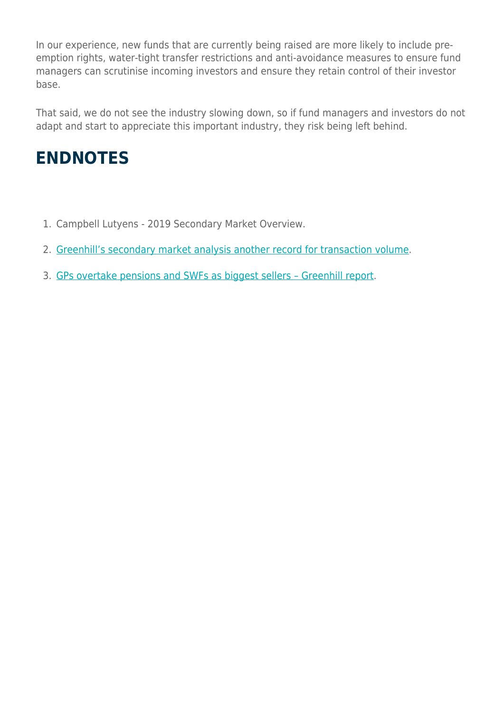In our experience, new funds that are currently being raised are more likely to include preemption rights, water-tight transfer restrictions and anti-avoidance measures to ensure fund managers can scrutinise incoming investors and ensure they retain control of their investor base.

That said, we do not see the industry slowing down, so if fund managers and investors do not adapt and start to appreciate this important industry, they risk being left behind.

# **ENDNOTES**

- 1. Campbell Lutyens 2019 Secondary Market Overview.
- 2. [Greenhill's secondary market analysis another record for transaction volume](https://www.greenhill.com/content/greenhill%E2%80%99s-secondary-market-analysis-another-record-transaction-volume).
- 3. [GPs overtake pensions and SWFs as biggest sellers Greenhill report.](https://www.secondariesinvestor.com/gps-overtake-pensions-and-swfs-as-biggest-sellers-greenhill-report/)